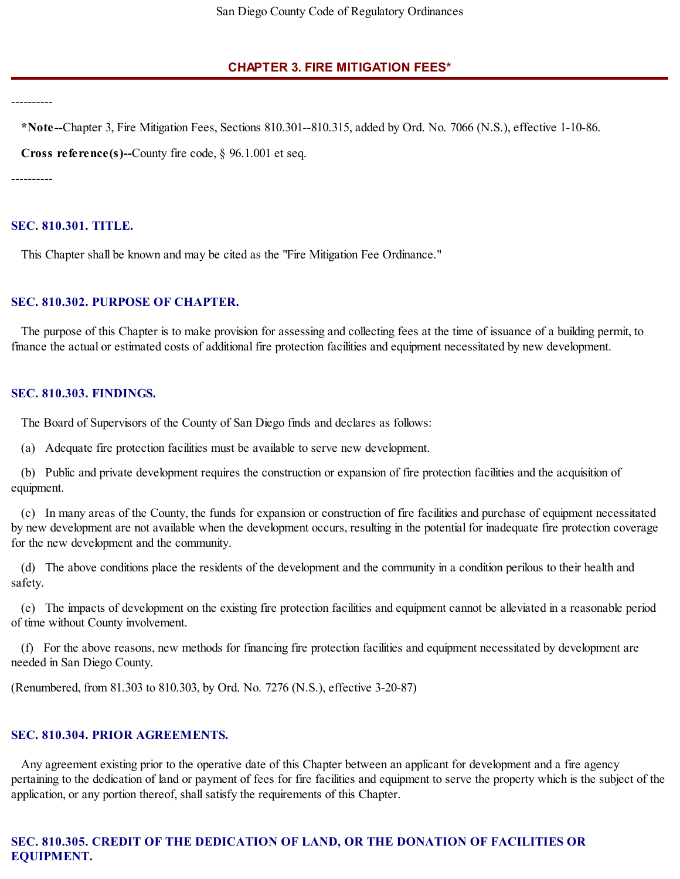# **CHAPTER 3. FIRE MITIGATION FEES\***

----------

**\*Note--**Chapter 3, Fire Mitigation Fees, Sections 810.301--810.315, added by Ord. No. 7066 (N.S.), effective 1-10-86.

**Cross reference(s)--**County fire code, § 96.1.001 et seq.

----------

# **SEC. 810.301. TITLE.**

This Chapter shall be known and may be cited as the "Fire Mitigation Fee Ordinance."

# **SEC. 810.302. PURPOSE OF CHAPTER.**

The purpose of this Chapter is to make provision for assessing and collecting fees at the time of issuance of a building permit, to finance the actual or estimated costs of additional fire protection facilities and equipment necessitated by new development.

### **SEC. 810.303. FINDINGS.**

The Board of Supervisors of the County of San Diego finds and declares as follows:

(a) Adequate fire protection facilities must be available to serve new development.

(b) Public and private development requires the construction or expansion of fire protection facilities and the acquisition of equipment.

(c) In many areas of the County, the funds for expansion or construction of fire facilities and purchase of equipment necessitated by new development are not available when the development occurs, resulting in the potential for inadequate fire protection coverage for the new development and the community.

(d) The above conditions place the residents of the development and the community in a condition perilous to their health and safety.

(e) The impacts of development on the existing fire protection facilities and equipment cannot be alleviated in a reasonable period of time without County involvement.

(f) For the above reasons, new methods for financing fire protection facilities and equipment necessitated by development are needed in San Diego County.

(Renumbered, from 81.303 to 810.303, by Ord. No. 7276 (N.S.), effective 3-20-87)

### **SEC. 810.304. PRIOR AGREEMENTS.**

Any agreement existing prior to the operative date of this Chapter between an applicant for development and a fire agency pertaining to the dedication of land or payment of fees for fire facilities and equipment to serve the property which is the subject of the application, or any portion thereof, shall satisfy the requirements of this Chapter.

# **SEC. 810.305. CREDIT OF THE DEDICATION OF LAND, OR THE DONATION OF FACILITIES OR EQUIPMENT.**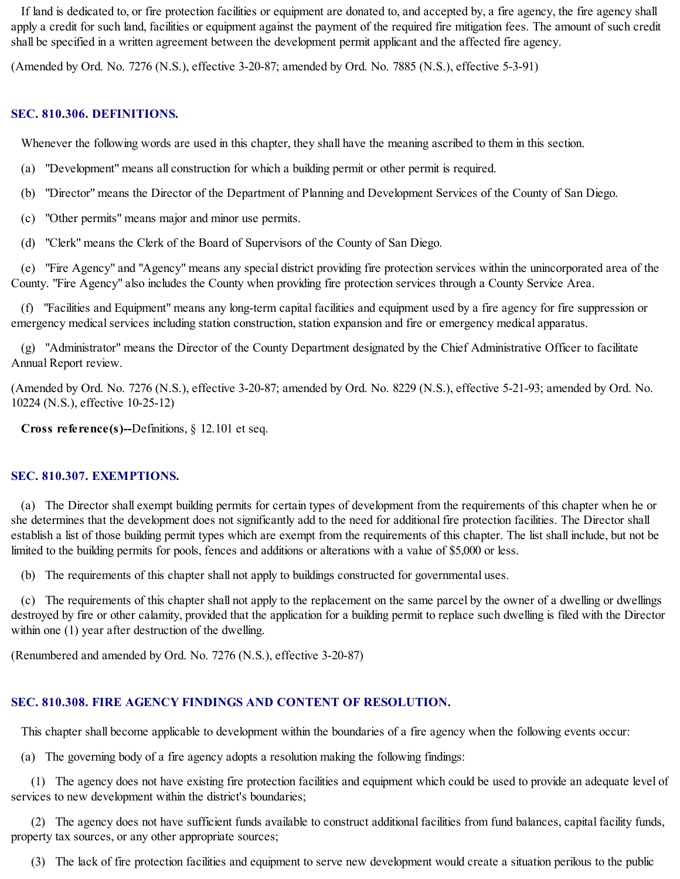If land is dedicated to, or fire protection facilities or equipment are donated to, and accepted by, a fire agency, the fire agency shall apply a credit for such land, facilities or equipment against the payment of the required fire mitigation fees. The amount of such credit shall be specified in a written agreement between the development permit applicant and the affected fire agency.

(Amended by Ord. No. 7276 (N.S.), effective 3-20-87; amended by Ord. No. 7885 (N.S.), effective 5-3-91)

# **SEC. 810.306. DEFINITIONS.**

Whenever the following words are used in this chapter, they shall have the meaning ascribed to them in this section.

- (a) "Development" means all construction for which a building permit or other permit is required.
- (b) "Director" means the Director of the Department of Planning and Development Services of the County of San Diego.
- (c) "Other permits" means major and minor use permits.
- (d) "Clerk" means the Clerk of the Board of Supervisors of the County of San Diego.

(e) "Fire Agency" and "Agency" means any special district providing fire protection services within the unincorporated area of the County. "Fire Agency" also includes the County when providing fire protection services through a County Service Area.

(f) "Facilities and Equipment" means any long-term capital facilities and equipment used by a fire agency for fire suppression or emergency medical services including station construction, station expansion and fire or emergency medical apparatus.

(g) "Administrator" means the Director of the County Department designated by the Chief Administrative Officer to facilitate Annual Report review.

(Amended by Ord. No. 7276 (N.S.), effective 3-20-87; amended by Ord. No. 8229 (N.S.), effective 5-21-93; amended by Ord. No. 10224 (N.S.), effective 10-25-12)

**Cross reference(s)--**Definitions, § 12.101 et seq.

# **SEC. 810.307. EXEMPTIONS.**

(a) The Director shall exempt building permits for certain types of development from the requirements of this chapter when he or she determines that the development does not significantly add to the need for additional fire protection facilities. The Director shall establish a list of those building permit types which are exempt from the requirements of this chapter. The list shall include, but not be limited to the building permits for pools, fences and additions or alterations with a value of \$5,000 or less.

(b) The requirements of this chapter shall not apply to buildings constructed for governmental uses.

(c) The requirements of this chapter shall not apply to the replacement on the same parcel by the owner of a dwelling or dwellings destroyed by fire or other calamity, provided that the application for a building permit to replace such dwelling is filed with the Director within one (1) year after destruction of the dwelling.

(Renumbered and amended by Ord. No. 7276 (N.S.), effective 3-20-87)

# **SEC. 810.308. FIRE AGENCY FINDINGS AND CONTENT OF RESOLUTION.**

This chapter shall become applicable to development within the boundaries of a fire agency when the following events occur:

(a) The governing body of a fire agency adopts a resolution making the following findings:

(1) The agency does not have existing fire protection facilities and equipment which could be used to provide an adequate level of services to new development within the district's boundaries;

(2) The agency does not have sufficient funds available to construct additional facilities from fund balances, capital facility funds, property tax sources, or any other appropriate sources;

(3) The lack of fire protection facilities and equipment to serve new development would create a situation perilous to the public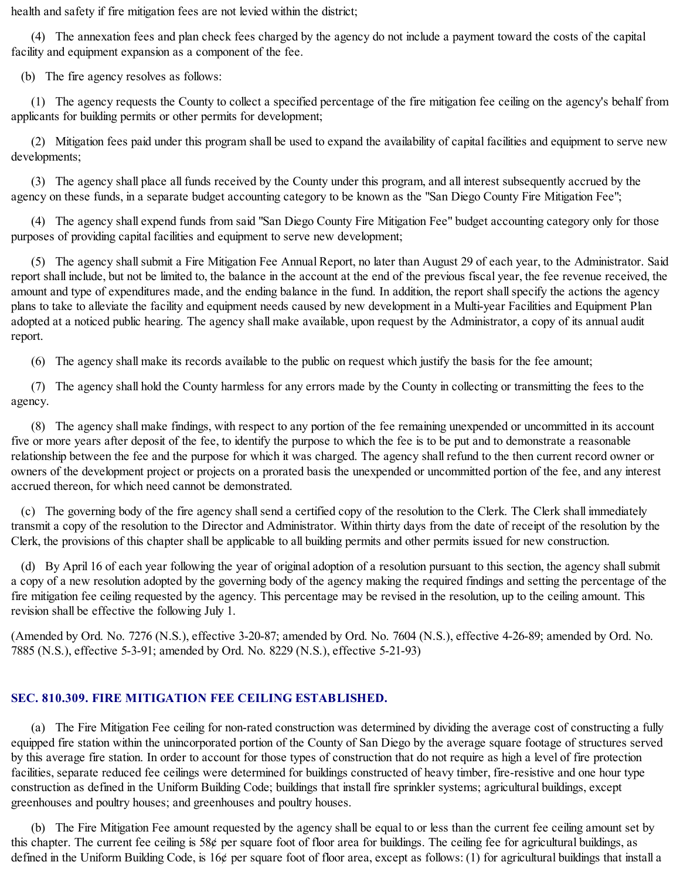health and safety if fire mitigation fees are not levied within the district;

(4) The annexation fees and plan check fees charged by the agency do not include a payment toward the costs of the capital facility and equipment expansion as a component of the fee.

(b) The fire agency resolves as follows:

(1) The agency requests the County to collect a specified percentage of the fire mitigation fee ceiling on the agency's behalf from applicants for building permits or other permits for development;

(2) Mitigation fees paid under this program shall be used to expand the availability of capital facilities and equipment to serve new developments;

(3) The agency shall place all funds received by the County under this program, and all interest subsequently accrued by the agency on these funds, in a separate budget accounting category to be known as the "San Diego County Fire Mitigation Fee";

(4) The agency shall expend funds from said "San Diego County Fire Mitigation Fee" budget accounting category only for those purposes of providing capital facilities and equipment to serve new development;

(5) The agency shallsubmit a Fire Mitigation Fee Annual Report, no later than August 29 of each year, to the Administrator. Said report shall include, but not be limited to, the balance in the account at the end of the previous fiscal year, the fee revenue received, the amount and type of expenditures made, and the ending balance in the fund. In addition, the report shall specify the actions the agency plans to take to alleviate the facility and equipment needs caused by new development in a Multi-year Facilities and Equipment Plan adopted at a noticed public hearing. The agency shall make available, upon request by the Administrator, a copy of its annual audit report.

(6) The agency shall make its records available to the public on request which justify the basis for the fee amount;

(7) The agency shall hold the County harmless for any errors made by the County in collecting or transmitting the fees to the agency.

(8) The agency shall make findings, with respect to any portion of the fee remaining unexpended or uncommitted in its account five or more years after deposit of the fee, to identify the purpose to which the fee is to be put and to demonstrate a reasonable relationship between the fee and the purpose for which it was charged. The agency shall refund to the then current record owner or owners of the development project or projects on a prorated basis the unexpended or uncommitted portion of the fee, and any interest accrued thereon, for which need cannot be demonstrated.

(c) The governing body of the fire agency shallsend a certified copy of the resolution to the Clerk. The Clerk shall immediately transmit a copy of the resolution to the Director and Administrator. Within thirty days from the date of receipt of the resolution by the Clerk, the provisions of this chapter shall be applicable to all building permits and other permits issued for new construction.

(d) By April 16 of each year following the year of original adoption of a resolution pursuant to this section, the agency shallsubmit a copy of a new resolution adopted by the governing body of the agency making the required findings and setting the percentage of the fire mitigation fee ceiling requested by the agency. This percentage may be revised in the resolution, up to the ceiling amount. This revision shall be effective the following July 1.

(Amended by Ord. No. 7276 (N.S.), effective 3-20-87; amended by Ord. No. 7604 (N.S.), effective 4-26-89; amended by Ord. No. 7885 (N.S.), effective 5-3-91; amended by Ord. No. 8229 (N.S.), effective 5-21-93)

# **SEC. 810.309. FIRE MITIGATION FEE CEILING ESTABLISHED.**

(a) The Fire Mitigation Fee ceiling for non-rated construction was determined by dividing the average cost of constructing a fully equipped fire station within the unincorporated portion of the County of San Diego by the average square footage of structures served by this average fire station. In order to account for those types of construction that do not require as high a level of fire protection facilities, separate reduced fee ceilings were determined for buildings constructed of heavy timber, fire-resistive and one hour type construction as defined in the Uniform Building Code; buildings that install fire sprinkler systems; agricultural buildings, except greenhouses and poultry houses; and greenhouses and poultry houses.

(b) The Fire Mitigation Fee amount requested by the agency shall be equal to or less than the current fee ceiling amount set by this chapter. The current fee ceiling is 58¢ per square foot of floor area for buildings. The ceiling fee for agricultural buildings, as defined in the Uniform Building Code, is 16¢ per square foot of floor area, except as follows: (1) for agricultural buildings that install a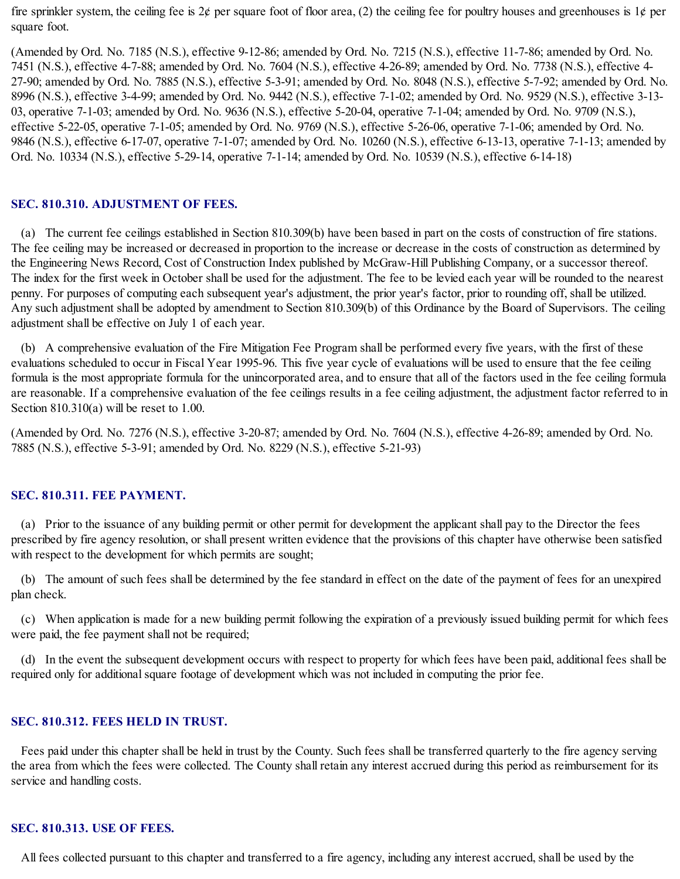fire sprinkler system, the ceiling fee is  $2\phi$  per square foot of floor area, (2) the ceiling fee for poultry houses and greenhouses is  $1\phi$  per square foot.

(Amended by Ord. No. 7185 (N.S.), effective 9-12-86; amended by Ord. No. 7215 (N.S.), effective 11-7-86; amended by Ord. No. 7451 (N.S.), effective 4-7-88; amended by Ord. No. 7604 (N.S.), effective 4-26-89; amended by Ord. No. 7738 (N.S.), effective 4- 27-90; amended by Ord. No. 7885 (N.S.), effective 5-3-91; amended by Ord. No. 8048 (N.S.), effective 5-7-92; amended by Ord. No. 8996 (N.S.), effective 3-4-99; amended by Ord. No. 9442 (N.S.), effective 7-1-02; amended by Ord. No. 9529 (N.S.), effective 3-13- 03, operative 7-1-03; amended by Ord. No. 9636 (N.S.), effective 5-20-04, operative 7-1-04; amended by Ord. No. 9709 (N.S.), effective 5-22-05, operative 7-1-05; amended by Ord. No. 9769 (N.S.), effective 5-26-06, operative 7-1-06; amended by Ord. No. 9846 (N.S.), effective 6-17-07, operative 7-1-07; amended by Ord. No. 10260 (N.S.), effective 6-13-13, operative 7-1-13; amended by Ord. No. 10334 (N.S.), effective 5-29-14, operative 7-1-14; amended by Ord. No. 10539 (N.S.), effective 6-14-18)

#### **SEC. 810.310. ADJUSTMENT OF FEES.**

(a) The current fee ceilings established in Section 810.309(b) have been based in part on the costs of construction of fire stations. The fee ceiling may be increased or decreased in proportion to the increase or decrease in the costs of construction as determined by the Engineering News Record, Cost of Construction Index published by McGraw-Hill Publishing Company, or a successor thereof. The index for the first week in October shall be used for the adjustment. The fee to be levied each year will be rounded to the nearest penny. For purposes of computing each subsequent year's adjustment, the prior year's factor, prior to rounding off, shall be utilized. Any such adjustment shall be adopted by amendment to Section 810.309(b) of this Ordinance by the Board of Supervisors. The ceiling adjustment shall be effective on July 1 of each year.

(b) A comprehensive evaluation of the Fire Mitigation Fee Program shall be performed every five years, with the first of these evaluations scheduled to occur in Fiscal Year 1995-96. This five year cycle of evaluations will be used to ensure that the fee ceiling formula is the most appropriate formula for the unincorporated area, and to ensure that all of the factors used in the fee ceiling formula are reasonable. If a comprehensive evaluation of the fee ceilings results in a fee ceiling adjustment, the adjustment factor referred to in Section 810.310(a) will be reset to 1.00.

(Amended by Ord. No. 7276 (N.S.), effective 3-20-87; amended by Ord. No. 7604 (N.S.), effective 4-26-89; amended by Ord. No. 7885 (N.S.), effective 5-3-91; amended by Ord. No. 8229 (N.S.), effective 5-21-93)

#### **SEC. 810.311. FEE PAYMENT.**

(a) Prior to the issuance of any building permit or other permit for development the applicant shall pay to the Director the fees prescribed by fire agency resolution, or shall present written evidence that the provisions of this chapter have otherwise been satisfied with respect to the development for which permits are sought;

(b) The amount of such fees shall be determined by the fee standard in effect on the date of the payment of fees for an unexpired plan check.

(c) When application is made for a new building permit following the expiration of a previously issued building permit for which fees were paid, the fee payment shall not be required;

(d) In the event the subsequent development occurs with respect to property for which fees have been paid, additional fees shall be required only for additionalsquare footage of development which was not included in computing the prior fee.

### **SEC. 810.312. FEES HELD IN TRUST.**

Fees paid under this chapter shall be held in trust by the County. Such fees shall be transferred quarterly to the fire agency serving the area from which the fees were collected. The County shall retain any interest accrued during this period as reimbursement for its service and handling costs.

# **SEC. 810.313. USE OF FEES.**

All fees collected pursuant to this chapter and transferred to a fire agency, including any interest accrued, shall be used by the